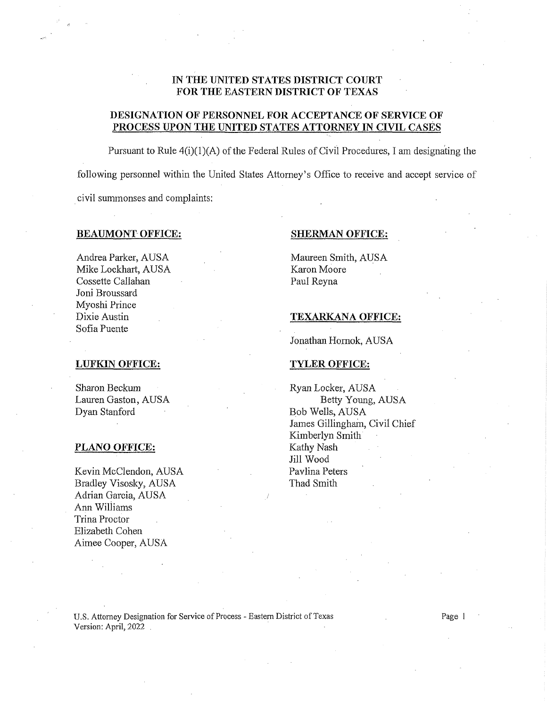# IN THE UNITED STATES DISTRICT COURT FOR THE EASTERN DISTRICT OF TEXAS

## DESIGNATION OF PERSONNEL FOR ACCEPTANCE OF SERVICE OF PROCESS UPON THE UNITED STATES ATTORNEY IN CIVIL CASES

Pursuant to Rule  $4(i)(1)(A)$  of the Federal Rules of Civil Procedures, I am designating the following personnel within the United States Attorney's Office to receive and accept service of civil summonses and complaints:

## BEAUMONT OFFICE: SHERMAN OFFICE:

Andrea Parker, AUSA Mike Lockhart, AUSA Cossette Callahan Joni Broussard Myoshi Prince Dixie Austin Sofia Puente

Maureen Smith, AUSA Karon Moore Paul Reyna

## TEXARKANA OFFICE:

Jonathan Homok, AUSA

# LUFKIN OFFICE: TYLER OFFICE:

Sharon Beckum Lauren Gaston, AUSA Dyan Stanford

## PLANO OFFICE: Kathy Nash

Kevin McClendon, AUSA Bradley Visosky, AUSA Adrian Garcia, AUSA Ann Williams Trina Proctor Elizabeth Cohen Aimee Cooper, AUSA

Ryan Locker, AUSA Betty Young, AUSA Bob Wells, AUSA James Gillingham, Civil Chief Kimberlyn Smith Jill Wood Pavlina Peters Thad Smith

U.S. Attorney Designation for Service of Process - Eastern District of Texas Page 1 Version: April, 2022